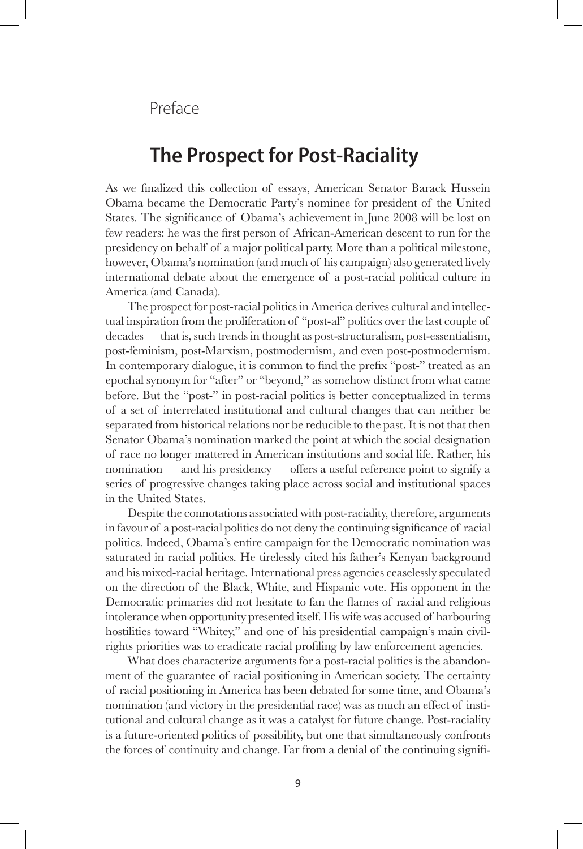Preface

# **The Prospect for Post-Raciality**

As we finalized this collection of essays, American Senator Barack Hussein Obama became the Democratic Party's nominee for president of the United States. The significance of Obama's achievement in June 2008 will be lost on few readers: he was the first person of African-American descent to run for the presidency on behalf of a major political party. More than a political milestone, however, Obama's nomination (and much of his campaign) also generated lively international debate about the emergence of a post-racial political culture in America (and Canada).

The prospect for post-racial politics in America derives cultural and intellectual inspiration from the proliferation of "post-al" politics over the last couple of decades — that is, such trends in thought as post-structuralism, post-essentialism, post-feminism, post-Marxism, postmodernism, and even post-postmodernism. In contemporary dialogue, it is common to find the prefix "post-" treated as an epochal synonym for "after" or "beyond," as somehow distinct from what came before. But the "post-" in post-racial politics is better conceptualized in terms of a set of interrelated institutional and cultural changes that can neither be separated from historical relations nor be reducible to the past. It is not that then Senator Obama's nomination marked the point at which the social designation of race no longer mattered in American institutions and social life. Rather, his nomination — and his presidency — offers a useful reference point to signify a series of progressive changes taking place across social and institutional spaces in the United States.

Despite the connotations associated with post-raciality, therefore, arguments in favour of a post-racial politics do not deny the continuing significance of racial politics. Indeed, Obama's entire campaign for the Democratic nomination was saturated in racial politics. He tirelessly cited his father's Kenyan background and his mixed-racial heritage. International press agencies ceaselessly speculated on the direction of the Black, White, and Hispanic vote. His opponent in the Democratic primaries did not hesitate to fan the flames of racial and religious intolerance when opportunity presented itself. His wife was accused of harbouring hostilities toward "Whitey," and one of his presidential campaign's main civilrights priorities was to eradicate racial profiling by law enforcement agencies.

What does characterize arguments for a post-racial politics is the abandonment of the guarantee of racial positioning in American society. The certainty of racial positioning in America has been debated for some time, and Obama's nomination (and victory in the presidential race) was as much an effect of institutional and cultural change as it was a catalyst for future change. Post-raciality is a future-oriented politics of possibility, but one that simultaneously confronts the forces of continuity and change. Far from a denial of the continuing signifi-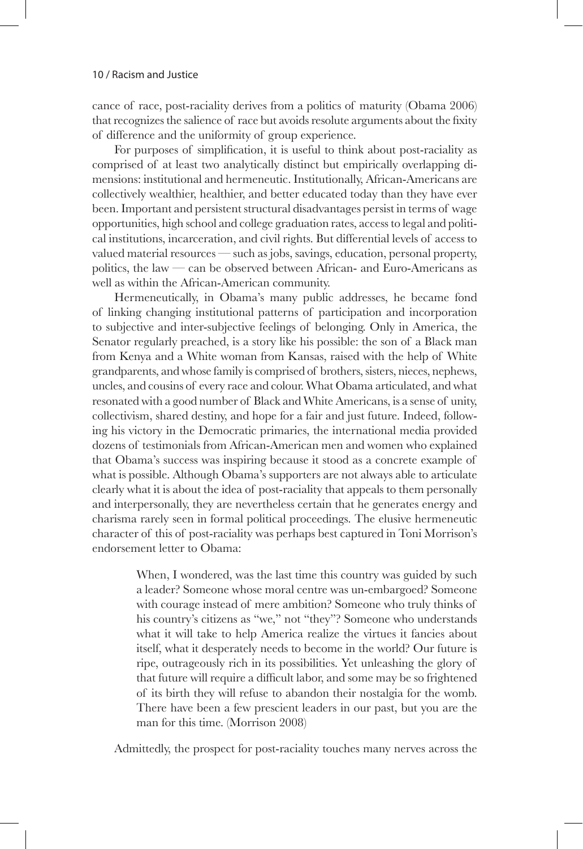cance of race, post-raciality derives from a politics of maturity (Obama 2006) that recognizes the salience of race but avoids resolute arguments about the fixity of difference and the uniformity of group experience.

For purposes of simplification, it is useful to think about post-raciality as comprised of at least two analytically distinct but empirically overlapping dimensions: institutional and hermeneutic. Institutionally, African-Americans are collectively wealthier, healthier, and better educated today than they have ever been. Important and persistent structural disadvantages persist in terms of wage opportunities, high school and college graduation rates, access to legal and political institutions, incarceration, and civil rights. But differential levels of access to valued material resources — such as jobs, savings, education, personal property, politics, the law — can be observed between African- and Euro-Americans as well as within the African-American community.

Hermeneutically, in Obama's many public addresses, he became fond of linking changing institutional patterns of participation and incorporation to subjective and inter-subjective feelings of belonging. Only in America, the Senator regularly preached, is a story like his possible: the son of a Black man from Kenya and a White woman from Kansas, raised with the help of White grandparents, and whose family is comprised of brothers, sisters, nieces, nephews, uncles, and cousins of every race and colour. What Obama articulated, and what resonated with a good number of Black and White Americans, is a sense of unity, collectivism, shared destiny, and hope for a fair and just future. Indeed, following his victory in the Democratic primaries, the international media provided dozens of testimonials from African-American men and women who explained that Obama's success was inspiring because it stood as a concrete example of what is possible. Although Obama's supporters are not always able to articulate clearly what it is about the idea of post-raciality that appeals to them personally and interpersonally, they are nevertheless certain that he generates energy and charisma rarely seen in formal political proceedings. The elusive hermeneutic character of this of post-raciality was perhaps best captured in Toni Morrison's endorsement letter to Obama:

> When, I wondered, was the last time this country was guided by such a leader? Someone whose moral centre was un-embargoed? Someone with courage instead of mere ambition? Someone who truly thinks of his country's citizens as "we," not "they"? Someone who understands what it will take to help America realize the virtues it fancies about itself, what it desperately needs to become in the world? Our future is ripe, outrageously rich in its possibilities. Yet unleashing the glory of that future will require a difficult labor, and some may be so frightened of its birth they will refuse to abandon their nostalgia for the womb. There have been a few prescient leaders in our past, but you are the man for this time. (Morrison 2008)

Admittedly, the prospect for post-raciality touches many nerves across the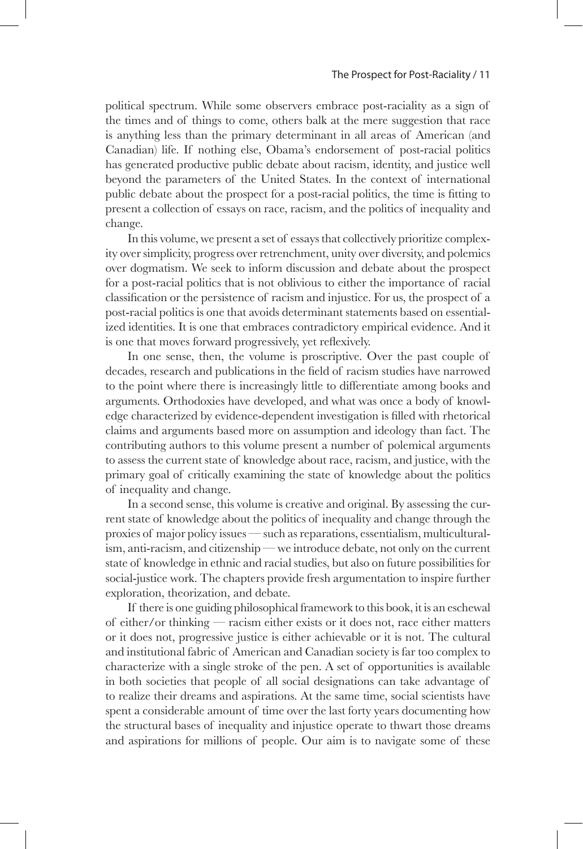#### The Prospect for Post-Raciality / 11

political spectrum. While some observers embrace post-raciality as a sign of the times and of things to come, others balk at the mere suggestion that race is anything less than the primary determinant in all areas of American (and Canadian) life. If nothing else, Obama's endorsement of post-racial politics has generated productive public debate about racism, identity, and justice well beyond the parameters of the United States. In the context of international public debate about the prospect for a post-racial politics, the time is fitting to present a collection of essays on race, racism, and the politics of inequality and change.

In this volume, we present a set of essays that collectively prioritize complexity over simplicity, progress over retrenchment, unity over diversity, and polemics over dogmatism. We seek to inform discussion and debate about the prospect for a post-racial politics that is not oblivious to either the importance of racial classification or the persistence of racism and injustice. For us, the prospect of a post-racial politics is one that avoids determinant statements based on essentialized identities. It is one that embraces contradictory empirical evidence. And it is one that moves forward progressively, yet reflexively.

In one sense, then, the volume is proscriptive. Over the past couple of decades, research and publications in the field of racism studies have narrowed to the point where there is increasingly little to differentiate among books and arguments. Orthodoxies have developed, and what was once a body of knowledge characterized by evidence-dependent investigation is filled with rhetorical claims and arguments based more on assumption and ideology than fact. The contributing authors to this volume present a number of polemical arguments to assess the current state of knowledge about race, racism, and justice, with the primary goal of critically examining the state of knowledge about the politics of inequality and change.

In a second sense, this volume is creative and original. By assessing the current state of knowledge about the politics of inequality and change through the proxies of major policy issues — such as reparations, essentialism, multiculturalism, anti-racism, and citizenship — we introduce debate, not only on the current state of knowledge in ethnic and racial studies, but also on future possibilities for social-justice work. The chapters provide fresh argumentation to inspire further exploration, theorization, and debate.

If there is one guiding philosophical framework to this book, it is an eschewal of either/or thinking — racism either exists or it does not, race either matters or it does not, progressive justice is either achievable or it is not. The cultural and institutional fabric of American and Canadian society is far too complex to characterize with a single stroke of the pen. A set of opportunities is available in both societies that people of all social designations can take advantage of to realize their dreams and aspirations. At the same time, social scientists have spent a considerable amount of time over the last forty years documenting how the structural bases of inequality and injustice operate to thwart those dreams and aspirations for millions of people. Our aim is to navigate some of these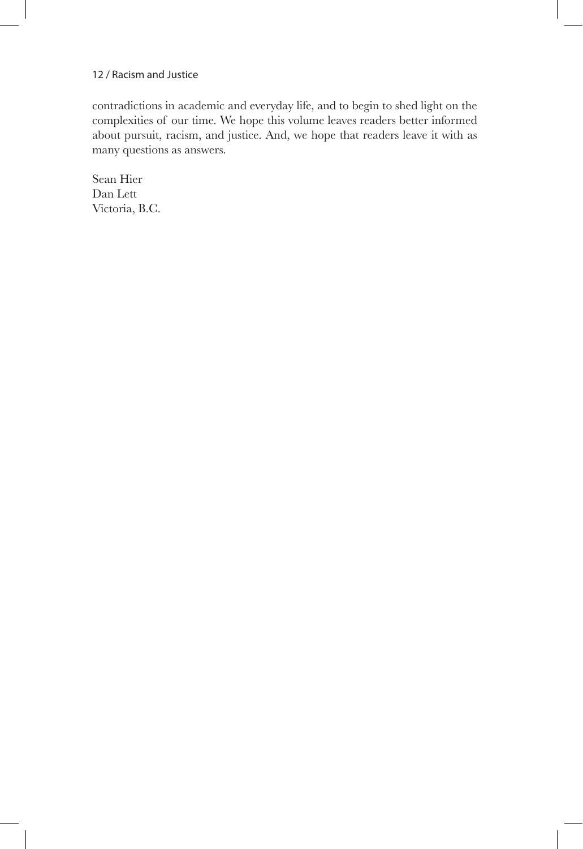contradictions in academic and everyday life, and to begin to shed light on the complexities of our time. We hope this volume leaves readers better informed about pursuit, racism, and justice. And, we hope that readers leave it with as many questions as answers.

Sean Hier Dan Lett Victoria, B.C.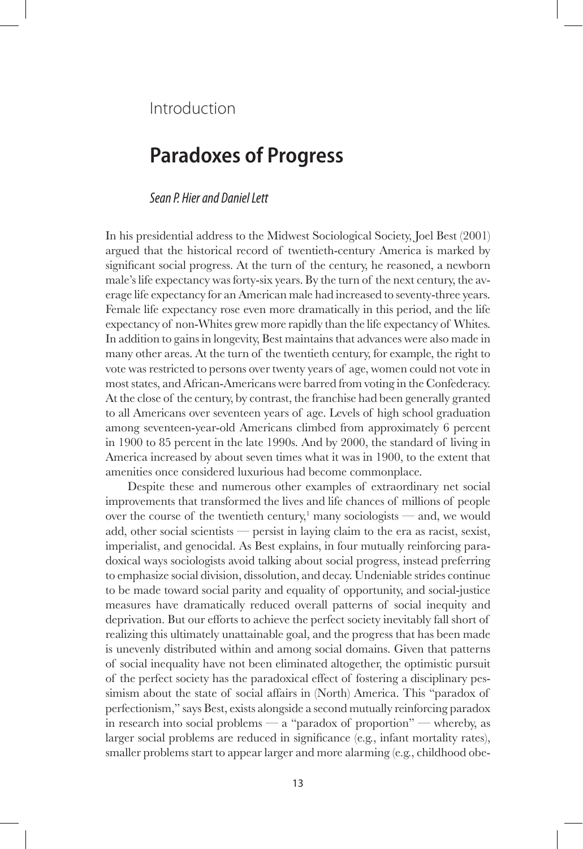Introduction

# **Paradoxes of Progress**

# *Sean P. Hier and Daniel Lett*

In his presidential address to the Midwest Sociological Society, Joel Best (2001) argued that the historical record of twentieth-century America is marked by significant social progress. At the turn of the century, he reasoned, a newborn male's life expectancy was forty-six years. By the turn of the next century, the average life expectancy for an American male had increased to seventy-three years. Female life expectancy rose even more dramatically in this period, and the life expectancy of non-Whites grew more rapidly than the life expectancy of Whites. In addition to gains in longevity, Best maintains that advances were also made in many other areas. At the turn of the twentieth century, for example, the right to vote was restricted to persons over twenty years of age, women could not vote in most states, and African-Americans were barred from voting in the Confederacy. At the close of the century, by contrast, the franchise had been generally granted to all Americans over seventeen years of age. Levels of high school graduation among seventeen-year-old Americans climbed from approximately 6 percent in 1900 to 85 percent in the late 1990s. And by 2000, the standard of living in America increased by about seven times what it was in 1900, to the extent that amenities once considered luxurious had become commonplace.

Despite these and numerous other examples of extraordinary net social improvements that transformed the lives and life chances of millions of people over the course of the twentieth century,<sup>1</sup> many sociologists — and, we would add, other social scientists — persist in laying claim to the era as racist, sexist, imperialist, and genocidal. As Best explains, in four mutually reinforcing paradoxical ways sociologists avoid talking about social progress, instead preferring to emphasize social division, dissolution, and decay. Undeniable strides continue to be made toward social parity and equality of opportunity, and social-justice measures have dramatically reduced overall patterns of social inequity and deprivation. But our efforts to achieve the perfect society inevitably fall short of realizing this ultimately unattainable goal, and the progress that has been made is unevenly distributed within and among social domains. Given that patterns of social inequality have not been eliminated altogether, the optimistic pursuit of the perfect society has the paradoxical effect of fostering a disciplinary pessimism about the state of social affairs in (North) America. This "paradox of perfectionism," says Best, exists alongside a second mutually reinforcing paradox in research into social problems — a "paradox of proportion" — whereby, as larger social problems are reduced in significance (e.g., infant mortality rates), smaller problems start to appear larger and more alarming (e.g., childhood obe-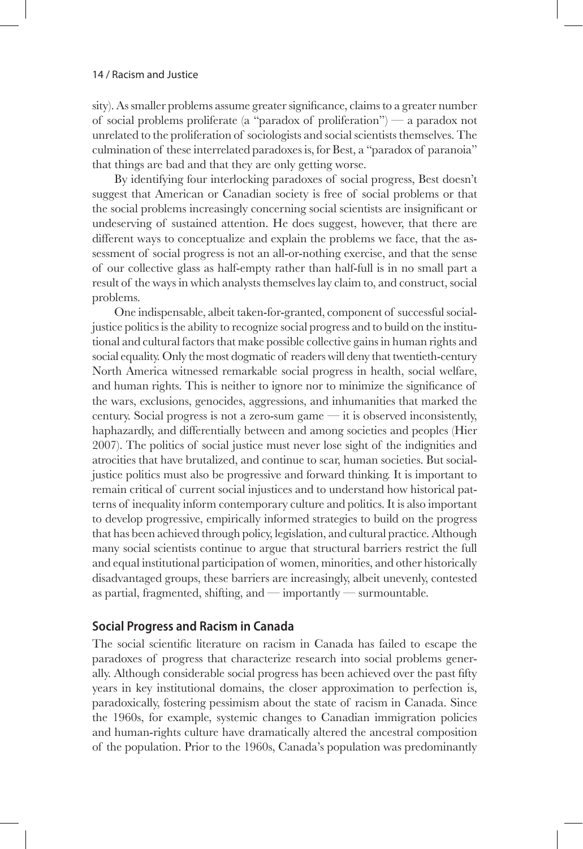sity). As smaller problems assume greater significance, claims to a greater number of social problems proliferate (a "paradox of proliferation") — a paradox not unrelated to the proliferation of sociologists and social scientists themselves. The culmination of these interrelated paradoxes is, for Best, a "paradox of paranoia" that things are bad and that they are only getting worse.

By identifying four interlocking paradoxes of social progress, Best doesn't suggest that American or Canadian society is free of social problems or that the social problems increasingly concerning social scientists are insignificant or undeserving of sustained attention. He does suggest, however, that there are different ways to conceptualize and explain the problems we face, that the assessment of social progress is not an all-or-nothing exercise, and that the sense of our collective glass as half-empty rather than half-full is in no small part a result of the ways in which analysts themselves lay claim to, and construct, social problems.

One indispensable, albeit taken-for-granted, component of successful socialjustice politics is the ability to recognize social progress and to build on the institutional and cultural factors that make possible collective gains in human rights and social equality. Only the most dogmatic of readers will deny that twentieth-century North America witnessed remarkable social progress in health, social welfare, and human rights. This is neither to ignore nor to minimize the significance of the wars, exclusions, genocides, aggressions, and inhumanities that marked the century. Social progress is not a zero-sum game — it is observed inconsistently, haphazardly, and differentially between and among societies and peoples (Hier 2007). The politics of social justice must never lose sight of the indignities and atrocities that have brutalized, and continue to scar, human societies. But socialjustice politics must also be progressive and forward thinking. It is important to remain critical of current social injustices and to understand how historical patterns of inequality inform contemporary culture and politics. It is also important to develop progressive, empirically informed strategies to build on the progress that has been achieved through policy, legislation, and cultural practice. Although many social scientists continue to argue that structural barriers restrict the full and equal institutional participation of women, minorities, and other historically disadvantaged groups, these barriers are increasingly, albeit unevenly, contested as partial, fragmented, shifting, and — importantly — surmountable.

# **Social Progress and Racism in Canada**

The social scientific literature on racism in Canada has failed to escape the paradoxes of progress that characterize research into social problems generally. Although considerable social progress has been achieved over the past fifty years in key institutional domains, the closer approximation to perfection is, paradoxically, fostering pessimism about the state of racism in Canada. Since the 1960s, for example, systemic changes to Canadian immigration policies and human-rights culture have dramatically altered the ancestral composition of the population. Prior to the 1960s, Canada's population was predominantly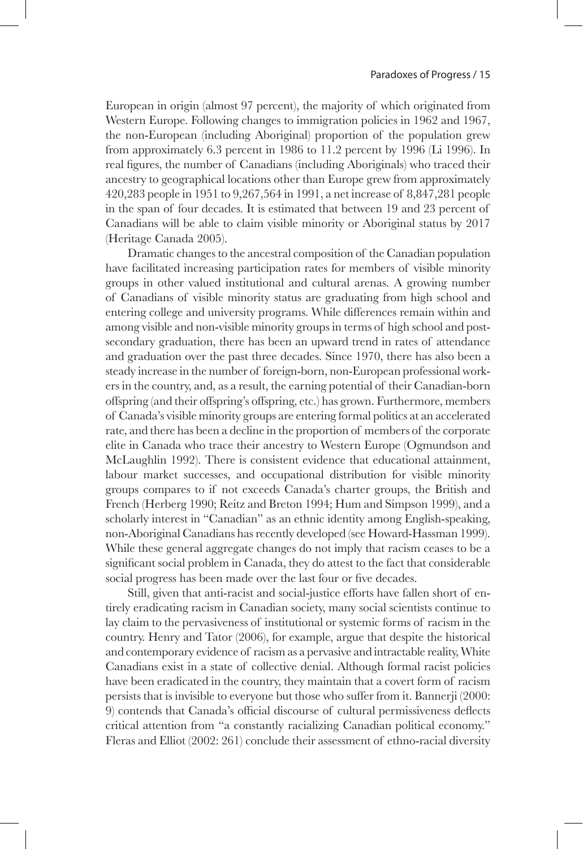European in origin (almost 97 percent), the majority of which originated from Western Europe. Following changes to immigration policies in 1962 and 1967, the non-European (including Aboriginal) proportion of the population grew from approximately 6.3 percent in 1986 to 11.2 percent by 1996 (Li 1996). In real figures, the number of Canadians (including Aboriginals) who traced their ancestry to geographical locations other than Europe grew from approximately 420,283 people in 1951 to 9,267,564 in 1991, a net increase of 8,847,281 people in the span of four decades. It is estimated that between 19 and 23 percent of Canadians will be able to claim visible minority or Aboriginal status by 2017 (Heritage Canada 2005).

Dramatic changes to the ancestral composition of the Canadian population have facilitated increasing participation rates for members of visible minority groups in other valued institutional and cultural arenas. A growing number of Canadians of visible minority status are graduating from high school and entering college and university programs. While differences remain within and among visible and non-visible minority groups in terms of high school and postsecondary graduation, there has been an upward trend in rates of attendance and graduation over the past three decades. Since 1970, there has also been a steady increase in the number of foreign-born, non-European professional workers in the country, and, as a result, the earning potential of their Canadian-born offspring (and their offspring's offspring, etc.) has grown. Furthermore, members of Canada's visible minority groups are entering formal politics at an accelerated rate, and there has been a decline in the proportion of members of the corporate elite in Canada who trace their ancestry to Western Europe (Ogmundson and McLaughlin 1992). There is consistent evidence that educational attainment, labour market successes, and occupational distribution for visible minority groups compares to if not exceeds Canada's charter groups, the British and French (Herberg 1990; Reitz and Breton 1994; Hum and Simpson 1999), and a scholarly interest in "Canadian" as an ethnic identity among English-speaking, non-Aboriginal Canadians has recently developed (see Howard-Hassman 1999). While these general aggregate changes do not imply that racism ceases to be a significant social problem in Canada, they do attest to the fact that considerable social progress has been made over the last four or five decades.

Still, given that anti-racist and social-justice efforts have fallen short of entirely eradicating racism in Canadian society, many social scientists continue to lay claim to the pervasiveness of institutional or systemic forms of racism in the country. Henry and Tator (2006), for example, argue that despite the historical and contemporary evidence of racism as a pervasive and intractable reality, White Canadians exist in a state of collective denial. Although formal racist policies have been eradicated in the country, they maintain that a covert form of racism persists that is invisible to everyone but those who suffer from it. Bannerji (2000: 9) contends that Canada's official discourse of cultural permissiveness deflects critical attention from "a constantly racializing Canadian political economy." Fleras and Elliot (2002: 261) conclude their assessment of ethno-racial diversity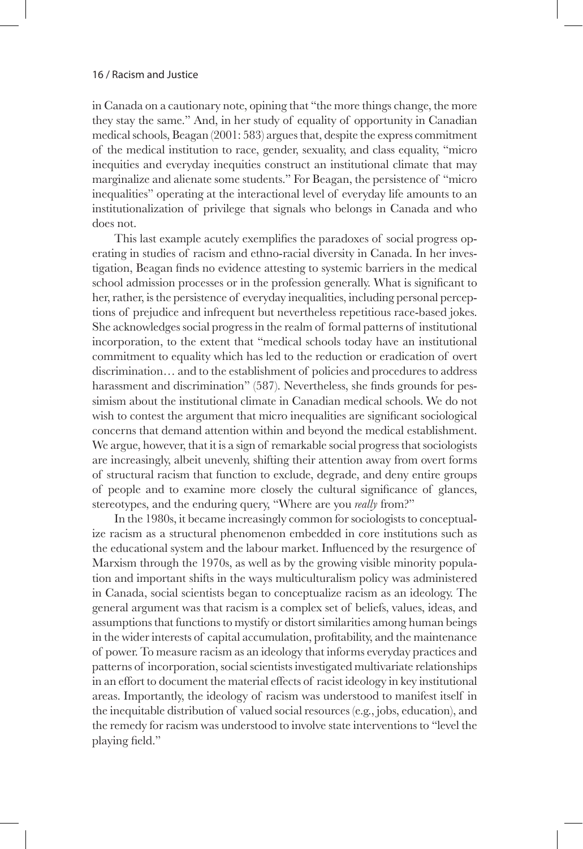in Canada on a cautionary note, opining that "the more things change, the more they stay the same." And, in her study of equality of opportunity in Canadian medical schools, Beagan (2001: 583) argues that, despite the express commitment of the medical institution to race, gender, sexuality, and class equality, "micro inequities and everyday inequities construct an institutional climate that may marginalize and alienate some students." For Beagan, the persistence of "micro inequalities" operating at the interactional level of everyday life amounts to an institutionalization of privilege that signals who belongs in Canada and who does not.

This last example acutely exemplifies the paradoxes of social progress operating in studies of racism and ethno-racial diversity in Canada. In her investigation, Beagan finds no evidence attesting to systemic barriers in the medical school admission processes or in the profession generally. What is significant to her, rather, is the persistence of everyday inequalities, including personal perceptions of prejudice and infrequent but nevertheless repetitious race-based jokes. She acknowledges social progress in the realm of formal patterns of institutional incorporation, to the extent that "medical schools today have an institutional commitment to equality which has led to the reduction or eradication of overt discrimination… and to the establishment of policies and procedures to address harassment and discrimination" (587). Nevertheless, she finds grounds for pessimism about the institutional climate in Canadian medical schools. We do not wish to contest the argument that micro inequalities are significant sociological concerns that demand attention within and beyond the medical establishment. We argue, however, that it is a sign of remarkable social progress that sociologists are increasingly, albeit unevenly, shifting their attention away from overt forms of structural racism that function to exclude, degrade, and deny entire groups of people and to examine more closely the cultural significance of glances, stereotypes, and the enduring query, "Where are you *really* from?"

In the 1980s, it became increasingly common for sociologists to conceptualize racism as a structural phenomenon embedded in core institutions such as the educational system and the labour market. Influenced by the resurgence of Marxism through the 1970s, as well as by the growing visible minority population and important shifts in the ways multiculturalism policy was administered in Canada, social scientists began to conceptualize racism as an ideology. The general argument was that racism is a complex set of beliefs, values, ideas, and assumptions that functions to mystify or distort similarities among human beings in the wider interests of capital accumulation, profitability, and the maintenance of power. To measure racism as an ideology that informs everyday practices and patterns of incorporation, social scientists investigated multivariate relationships in an effort to document the material effects of racist ideology in key institutional areas. Importantly, the ideology of racism was understood to manifest itself in the inequitable distribution of valued social resources (e.g., jobs, education), and the remedy for racism was understood to involve state interventions to "level the playing field."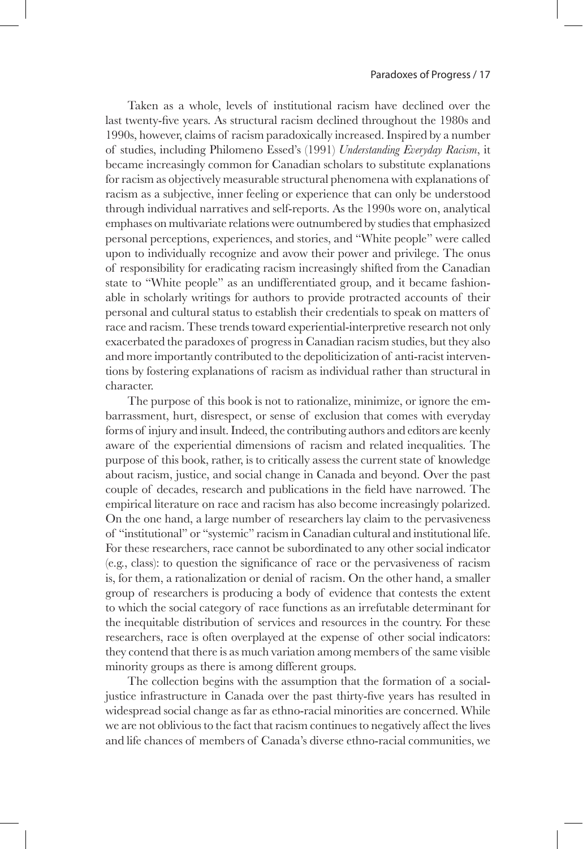Taken as a whole, levels of institutional racism have declined over the last twenty-five years. As structural racism declined throughout the 1980s and 1990s, however, claims of racism paradoxically increased. Inspired by a number of studies, including Philomeno Essed's (1991) *Understanding Everyday Racism*, it became increasingly common for Canadian scholars to substitute explanations for racism as objectively measurable structural phenomena with explanations of racism as a subjective, inner feeling or experience that can only be understood through individual narratives and self-reports. As the 1990s wore on, analytical emphases on multivariate relations were outnumbered by studies that emphasized personal perceptions, experiences, and stories, and "White people" were called upon to individually recognize and avow their power and privilege. The onus of responsibility for eradicating racism increasingly shifted from the Canadian state to "White people" as an undifferentiated group, and it became fashionable in scholarly writings for authors to provide protracted accounts of their personal and cultural status to establish their credentials to speak on matters of race and racism. These trends toward experiential-interpretive research not only exacerbated the paradoxes of progress in Canadian racism studies, but they also and more importantly contributed to the depoliticization of anti-racist interventions by fostering explanations of racism as individual rather than structural in character.

The purpose of this book is not to rationalize, minimize, or ignore the embarrassment, hurt, disrespect, or sense of exclusion that comes with everyday forms of injury and insult. Indeed, the contributing authors and editors are keenly aware of the experiential dimensions of racism and related inequalities. The purpose of this book, rather, is to critically assess the current state of knowledge about racism, justice, and social change in Canada and beyond. Over the past couple of decades, research and publications in the field have narrowed. The empirical literature on race and racism has also become increasingly polarized. On the one hand, a large number of researchers lay claim to the pervasiveness of "institutional" or "systemic" racism in Canadian cultural and institutional life. For these researchers, race cannot be subordinated to any other social indicator (e.g., class): to question the significance of race or the pervasiveness of racism is, for them, a rationalization or denial of racism. On the other hand, a smaller group of researchers is producing a body of evidence that contests the extent to which the social category of race functions as an irrefutable determinant for the inequitable distribution of services and resources in the country. For these researchers, race is often overplayed at the expense of other social indicators: they contend that there is as much variation among members of the same visible minority groups as there is among different groups.

The collection begins with the assumption that the formation of a socialjustice infrastructure in Canada over the past thirty-five years has resulted in widespread social change as far as ethno-racial minorities are concerned. While we are not oblivious to the fact that racism continues to negatively affect the lives and life chances of members of Canada's diverse ethno-racial communities, we